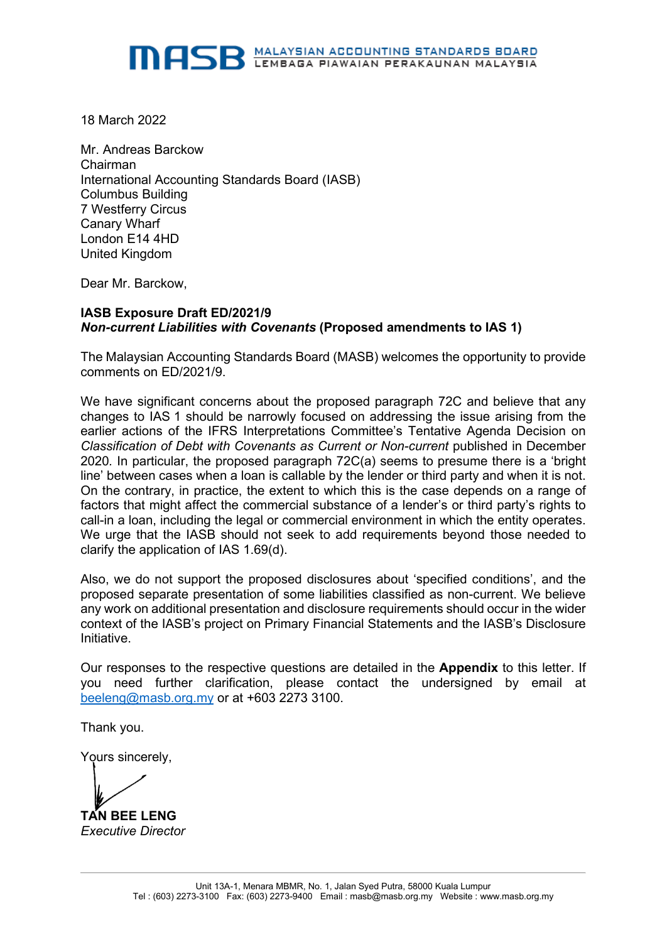18 March 2022

Mr. Andreas Barckow Chairman International Accounting Standards Board (IASB) Columbus Building 7 Westferry Circus Canary Wharf London E14 4HD United Kingdom

Dear Mr. Barckow,

#### **IASB Exposure Draft ED/2021/9** *Non-current Liabilities with Covenants* **(Proposed amendments to IAS 1)**

The Malaysian Accounting Standards Board (MASB) welcomes the opportunity to provide comments on ED/2021/9.

We have significant concerns about the proposed paragraph 72C and believe that any changes to IAS 1 should be narrowly focused on addressing the issue arising from the earlier actions of the IFRS Interpretations Committee's Tentative Agenda Decision on *Classification of Debt with Covenants as Current or Non-current* published in December 2020*.* In particular, the proposed paragraph 72C(a) seems to presume there is a 'bright line' between cases when a loan is callable by the lender or third party and when it is not. On the contrary, in practice, the extent to which this is the case depends on a range of factors that might affect the commercial substance of a lender's or third party's rights to call-in a loan, including the legal or commercial environment in which the entity operates. We urge that the IASB should not seek to add requirements beyond those needed to clarify the application of IAS 1.69(d).

Also, we do not support the proposed disclosures about 'specified conditions', and the proposed separate presentation of some liabilities classified as non-current. We believe any work on additional presentation and disclosure requirements should occur in the wider context of the IASB's project on Primary Financial Statements and the IASB's Disclosure Initiative.

Our responses to the respective questions are detailed in the **Appendix** to this letter. If you need further clarification, please contact the undersigned by email at [beeleng@masb.org.my](mailto:beeleng@masb.org.my) or at +603 2273 3100.

Thank you.

Yours sincerely,

**TAN BEE LENG**

*Executive Director*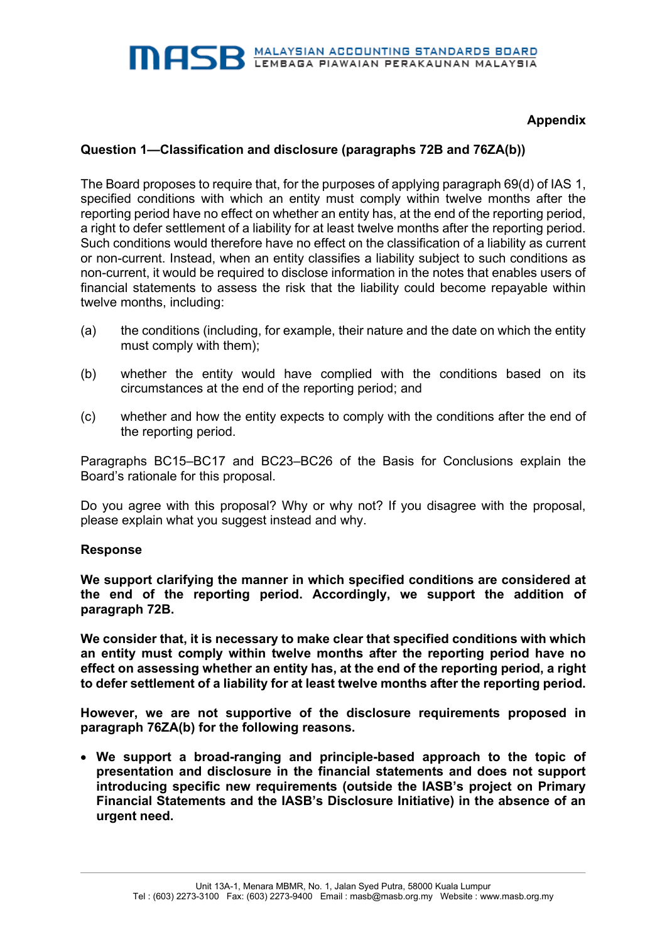# **Appendix**

## **Question 1—Classification and disclosure (paragraphs 72B and 76ZA(b))**

The Board proposes to require that, for the purposes of applying paragraph 69(d) of IAS 1, specified conditions with which an entity must comply within twelve months after the reporting period have no effect on whether an entity has, at the end of the reporting period, a right to defer settlement of a liability for at least twelve months after the reporting period. Such conditions would therefore have no effect on the classification of a liability as current or non-current. Instead, when an entity classifies a liability subject to such conditions as non-current, it would be required to disclose information in the notes that enables users of financial statements to assess the risk that the liability could become repayable within twelve months, including:

- (a) the conditions (including, for example, their nature and the date on which the entity must comply with them);
- (b) whether the entity would have complied with the conditions based on its circumstances at the end of the reporting period; and
- (c) whether and how the entity expects to comply with the conditions after the end of the reporting period.

Paragraphs BC15–BC17 and BC23–BC26 of the Basis for Conclusions explain the Board's rationale for this proposal.

Do you agree with this proposal? Why or why not? If you disagree with the proposal, please explain what you suggest instead and why.

#### **Response**

**We support clarifying the manner in which specified conditions are considered at the end of the reporting period. Accordingly, we support the addition of paragraph 72B.**

**We consider that, it is necessary to make clear that specified conditions with which an entity must comply within twelve months after the reporting period have no effect on assessing whether an entity has, at the end of the reporting period, a right to defer settlement of a liability for at least twelve months after the reporting period.**

**However, we are not supportive of the disclosure requirements proposed in paragraph 76ZA(b) for the following reasons.**

• **We support a broad-ranging and principle-based approach to the topic of presentation and disclosure in the financial statements and does not support introducing specific new requirements (outside the IASB's project on Primary Financial Statements and the IASB's Disclosure Initiative) in the absence of an urgent need.**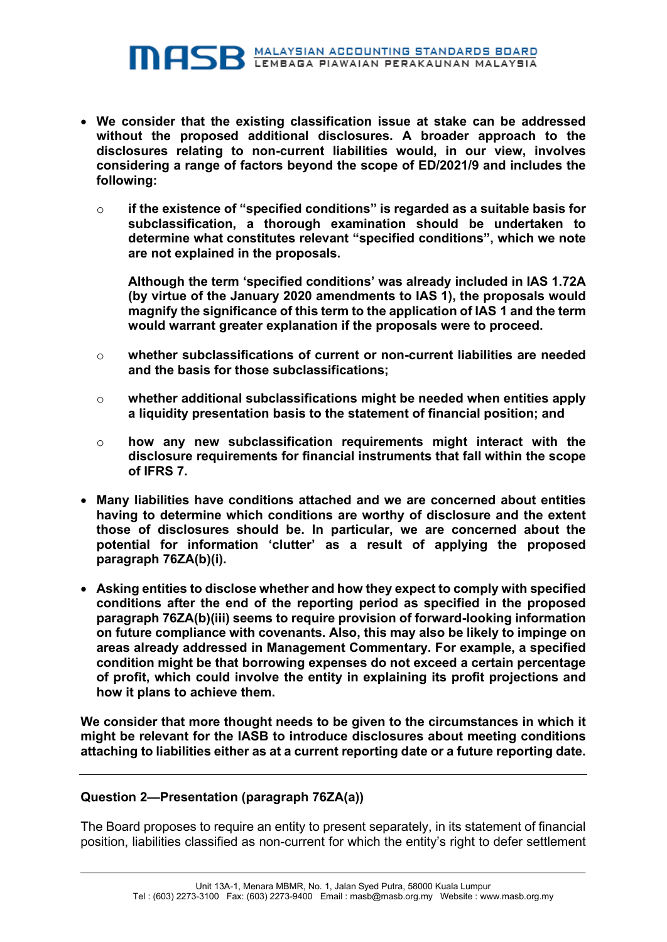- **We consider that the existing classification issue at stake can be addressed without the proposed additional disclosures. A broader approach to the disclosures relating to non-current liabilities would, in our view, involves considering a range of factors beyond the scope of ED/2021/9 and includes the following:**
	- o **if the existence of "specified conditions" is regarded as a suitable basis for subclassification, a thorough examination should be undertaken to determine what constitutes relevant "specified conditions", which we note are not explained in the proposals.**

**Although the term 'specified conditions' was already included in IAS 1.72A (by virtue of the January 2020 amendments to IAS 1), the proposals would magnify the significance of this term to the application of IAS 1 and the term would warrant greater explanation if the proposals were to proceed.**

- o **whether subclassifications of current or non-current liabilities are needed and the basis for those subclassifications;**
- o **whether additional subclassifications might be needed when entities apply a liquidity presentation basis to the statement of financial position; and**
- o **how any new subclassification requirements might interact with the disclosure requirements for financial instruments that fall within the scope of IFRS 7.**
- **Many liabilities have conditions attached and we are concerned about entities having to determine which conditions are worthy of disclosure and the extent those of disclosures should be. In particular, we are concerned about the potential for information 'clutter' as a result of applying the proposed paragraph 76ZA(b)(i).**
- **Asking entities to disclose whether and how they expect to comply with specified conditions after the end of the reporting period as specified in the proposed paragraph 76ZA(b)(iii) seems to require provision of forward-looking information on future compliance with covenants. Also, this may also be likely to impinge on areas already addressed in Management Commentary. For example, a specified condition might be that borrowing expenses do not exceed a certain percentage of profit, which could involve the entity in explaining its profit projections and how it plans to achieve them.**

**We consider that more thought needs to be given to the circumstances in which it might be relevant for the IASB to introduce disclosures about meeting conditions attaching to liabilities either as at a current reporting date or a future reporting date.**

### **Question 2—Presentation (paragraph 76ZA(a))**

The Board proposes to require an entity to present separately, in its statement of financial position, liabilities classified as non-current for which the entity's right to defer settlement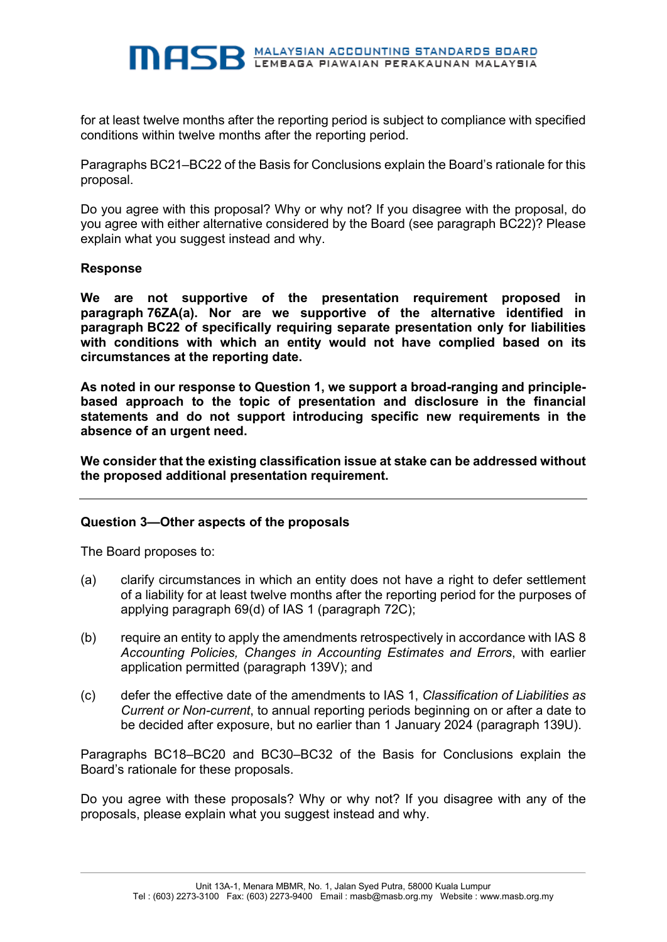for at least twelve months after the reporting period is subject to compliance with specified conditions within twelve months after the reporting period.

Paragraphs BC21–BC22 of the Basis for Conclusions explain the Board's rationale for this proposal.

Do you agree with this proposal? Why or why not? If you disagree with the proposal, do you agree with either alternative considered by the Board (see paragraph BC22)? Please explain what you suggest instead and why.

#### **Response**

**We are not supportive of the presentation requirement proposed in paragraph 76ZA(a). Nor are we supportive of the alternative identified in paragraph BC22 of specifically requiring separate presentation only for liabilities with conditions with which an entity would not have complied based on its circumstances at the reporting date.**

**As noted in our response to Question 1, we support a broad-ranging and principlebased approach to the topic of presentation and disclosure in the financial statements and do not support introducing specific new requirements in the absence of an urgent need.** 

**We consider that the existing classification issue at stake can be addressed without the proposed additional presentation requirement.**

#### **Question 3—Other aspects of the proposals**

The Board proposes to:

- (a) clarify circumstances in which an entity does not have a right to defer settlement of a liability for at least twelve months after the reporting period for the purposes of applying paragraph 69(d) of IAS 1 (paragraph 72C);
- (b) require an entity to apply the amendments retrospectively in accordance with IAS 8 *Accounting Policies, Changes in Accounting Estimates and Errors*, with earlier application permitted (paragraph 139V); and
- (c) defer the effective date of the amendments to IAS 1, *Classification of Liabilities as Current or Non-current*, to annual reporting periods beginning on or after a date to be decided after exposure, but no earlier than 1 January 2024 (paragraph 139U).

Paragraphs BC18–BC20 and BC30–BC32 of the Basis for Conclusions explain the Board's rationale for these proposals.

Do you agree with these proposals? Why or why not? If you disagree with any of the proposals, please explain what you suggest instead and why.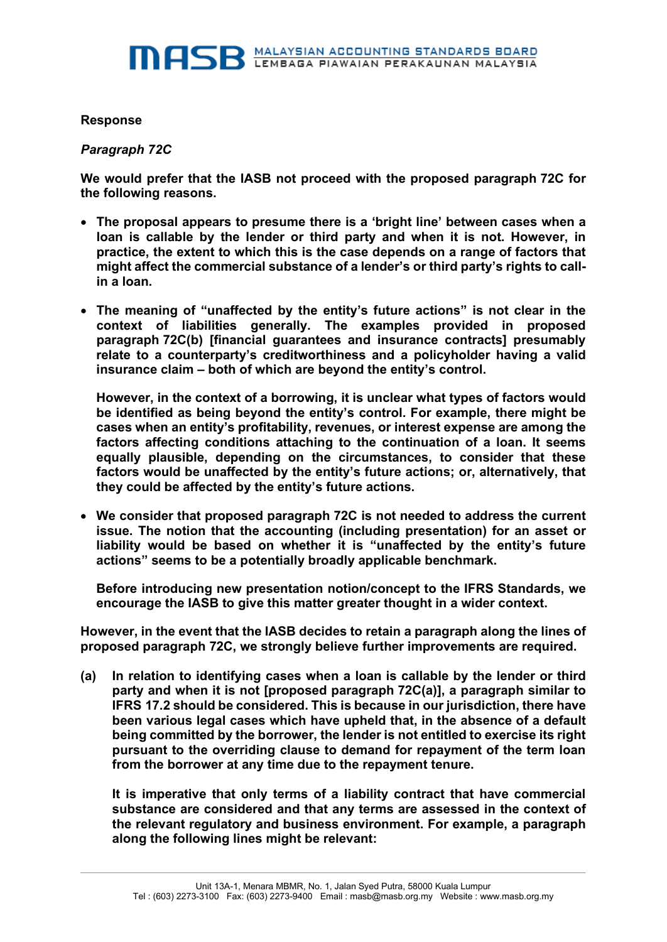### **Response**

### *Paragraph 72C*

**We would prefer that the IASB not proceed with the proposed paragraph 72C for the following reasons.**

- **The proposal appears to presume there is a 'bright line' between cases when a loan is callable by the lender or third party and when it is not. However, in practice, the extent to which this is the case depends on a range of factors that might affect the commercial substance of a lender's or third party's rights to callin a loan.**
- **The meaning of "unaffected by the entity's future actions" is not clear in the context of liabilities generally. The examples provided in proposed paragraph 72C(b) [financial guarantees and insurance contracts] presumably relate to a counterparty's creditworthiness and a policyholder having a valid insurance claim – both of which are beyond the entity's control.**

**However, in the context of a borrowing, it is unclear what types of factors would be identified as being beyond the entity's control. For example, there might be cases when an entity's profitability, revenues, or interest expense are among the factors affecting conditions attaching to the continuation of a loan. It seems equally plausible, depending on the circumstances, to consider that these factors would be unaffected by the entity's future actions; or, alternatively, that they could be affected by the entity's future actions.**

• **We consider that proposed paragraph 72C is not needed to address the current issue. The notion that the accounting (including presentation) for an asset or liability would be based on whether it is "unaffected by the entity's future actions" seems to be a potentially broadly applicable benchmark.** 

**Before introducing new presentation notion/concept to the IFRS Standards, we encourage the IASB to give this matter greater thought in a wider context.** 

**However, in the event that the IASB decides to retain a paragraph along the lines of proposed paragraph 72C, we strongly believe further improvements are required.** 

**(a) In relation to identifying cases when a loan is callable by the lender or third party and when it is not [proposed paragraph 72C(a)], a paragraph similar to IFRS 17.2 should be considered. This is because in our jurisdiction, there have been various legal cases which have upheld that, in the absence of a default being committed by the borrower, the lender is not entitled to exercise its right pursuant to the overriding clause to demand for repayment of the term loan from the borrower at any time due to the repayment tenure.** 

**It is imperative that only terms of a liability contract that have commercial substance are considered and that any terms are assessed in the context of the relevant regulatory and business environment. For example, a paragraph along the following lines might be relevant:**